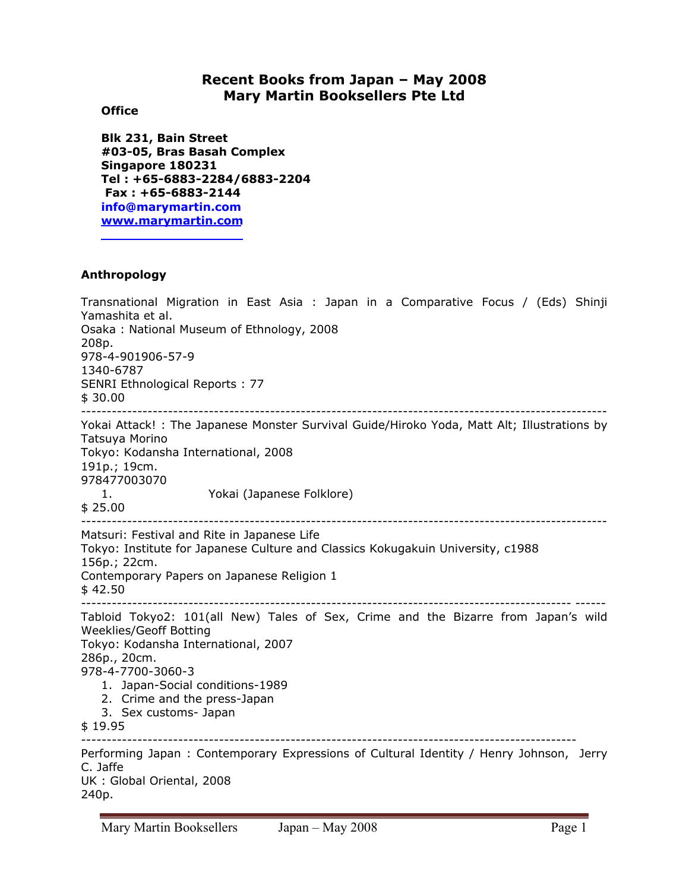# **Recent Books from Japan – May 2008 Mary Martin Booksellers Pte Ltd**

### **Office**

**Blk 231, Bain Street #03-05, Bras Basah Complex Singapore 180231 Tel : +65-6883-2284/6883-2204 Fax : +65-6883-2144 info@marymartin.com www.marymartin.com**

## **Anthropology**

Transnational Migration in East Asia : Japan in a Comparative Focus / (Eds) Shinji Yamashita et al. Osaka : National Museum of Ethnology, 2008 208p. 978-4-901906-57-9 1340-6787 SENRI Ethnological Reports : 77 \$ 30.00 ------------------------------------------------------------------------------------------------------- Yokai Attack! : The Japanese Monster Survival Guide/Hiroko Yoda, Matt Alt; Illustrations by Tatsuya Morino Tokyo: Kodansha International, 2008 191p.; 19cm. 978477003070 1. Yokai (Japanese Folklore) \$ 25.00 ------------------------------------------------------------------------------------------------------- Matsuri: Festival and Rite in Japanese Life Tokyo: Institute for Japanese Culture and Classics Kokugakuin University, c1988 156p.; 22cm. Contemporary Papers on Japanese Religion 1  $$42.50$ ------------------------------------------------------------------------------------------------ ------ Tabloid Tokyo2: 101(all New) Tales of Sex, Crime and the Bizarre from Japan's wild Weeklies/Geoff Botting Tokyo: Kodansha International, 2007 286p., 20cm. 978-4-7700-3060-3 1. Japan-Social conditions-1989 2. Crime and the press-Japan 3. Sex customs- Japan \$ 19.95 ------------------------------------------------------------------------------------------------- Performing Japan : Contemporary Expressions of Cultural Identity / Henry Johnson, Jerry C. Jaffe UK : Global Oriental, 2008

240p.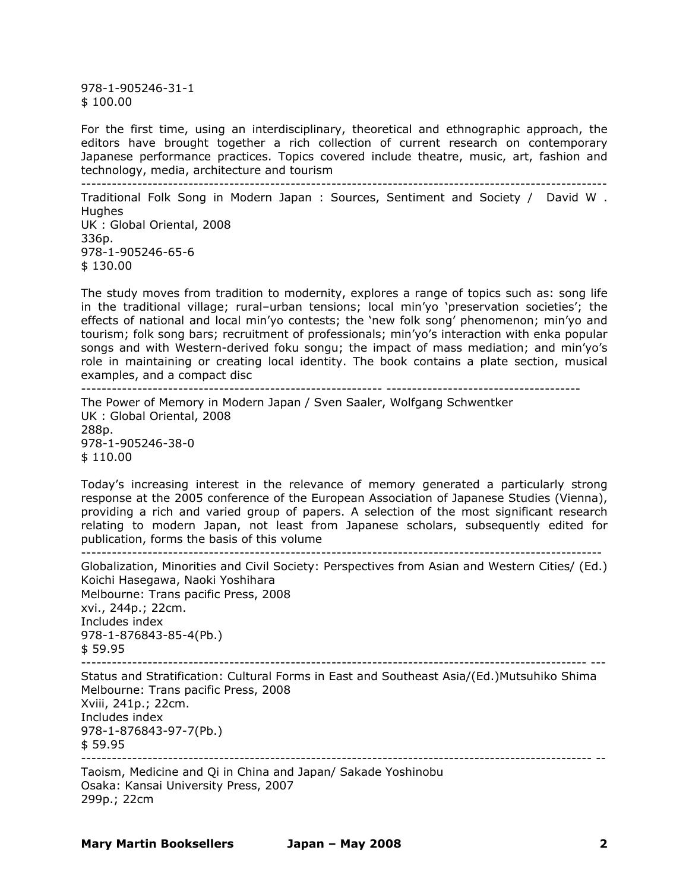978-1-905246-31-1 \$ 100.00

For the first time, using an interdisciplinary, theoretical and ethnographic approach, the editors have brought together a rich collection of current research on contemporary Japanese performance practices. Topics covered include theatre, music, art, fashion and technology, media, architecture and tourism -------------------------------------------------------------------------------------------------------

Traditional Folk Song in Modern Japan : Sources, Sentiment and Society / David W . **Hughes** UK : Global Oriental, 2008 336p. 978-1-905246-65-6 \$ 130.00

The study moves from tradition to modernity, explores a range of topics such as: song life in the traditional village; rural–urban tensions; local min'yo 'preservation societies'; the effects of national and local min'yo contests; the 'new folk song' phenomenon; min'yo and tourism; folk song bars; recruitment of professionals; min'yo's interaction with enka popular songs and with Western-derived foku songu; the impact of mass mediation; and min'yo's role in maintaining or creating local identity. The book contains a plate section, musical examples, and a compact disc ----------------------------------------------------------- --------------------------------------

The Power of Memory in Modern Japan / Sven Saaler, Wolfgang Schwentker UK : Global Oriental, 2008 288p. 978-1-905246-38-0 \$ 110.00

Today's increasing interest in the relevance of memory generated a particularly strong response at the 2005 conference of the European Association of Japanese Studies (Vienna), providing a rich and varied group of papers. A selection of the most significant research relating to modern Japan, not least from Japanese scholars, subsequently edited for publication, forms the basis of this volume

------------------------------------------------------------------------------------------------------

Globalization, Minorities and Civil Society: Perspectives from Asian and Western Cities/ (Ed.) Koichi Hasegawa, Naoki Yoshihara Melbourne: Trans pacific Press, 2008 xvi., 244p.; 22cm. Includes index 978-1-876843-85-4(Pb.) \$ 59.95

Status and Stratification: Cultural Forms in East and Southeast Asia/(Ed.)Mutsuhiko Shima Melbourne: Trans pacific Press, 2008 Xviii, 241p.; 22cm. Includes index 978-1-876843-97-7(Pb.) \$ 59.95 ---------------------------------------------------------------------------------------------------- --

Taoism, Medicine and Qi in China and Japan/ Sakade Yoshinobu Osaka: Kansai University Press, 2007 299p.; 22cm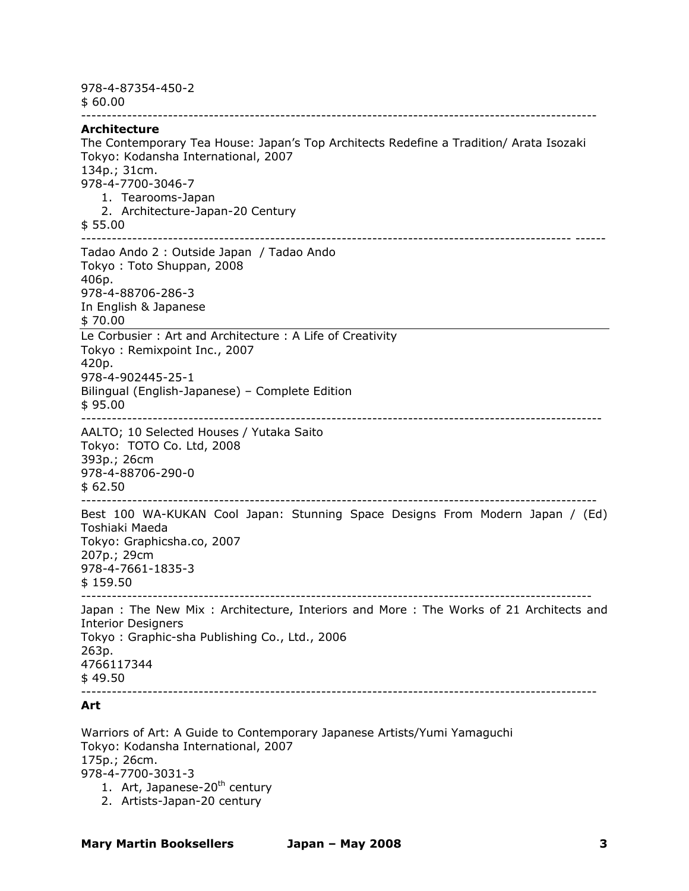978-4-87354-450-2 \$ 60.00 ----------------------------------------------------------------------------------------------------- **Architecture**  The Contemporary Tea House: Japan's Top Architects Redefine a Tradition/ Arata Isozaki Tokyo: Kodansha International, 2007 134p.; 31cm. 978-4-7700-3046-7 1. Tearooms-Japan 2. Architecture-Japan-20 Century \$ 55.00 ------------------------------------------------------------------------------------------------ ------ Tadao Ando 2 : Outside Japan / Tadao Ando Tokyo : Toto Shuppan, 2008 406p. 978-4-88706-286-3 In English & Japanese \$ 70.00 Le Corbusier : Art and Architecture : A Life of Creativity Tokyo : Remixpoint Inc., 2007 420p. 978-4-902445-25-1 Bilingual (English-Japanese) – Complete Edition  $$95.00$ ------------------------------------------------------------------------------------------------------ AALTO; 10 Selected Houses / Yutaka Saito Tokyo: TOTO Co. Ltd, 2008 393p.; 26cm 978-4-88706-290-0 \$ 62.50 ----------------------------------------------------------------------------------------------------- Best 100 WA-KUKAN Cool Japan: Stunning Space Designs From Modern Japan / (Ed) Toshiaki Maeda Tokyo: Graphicsha.co, 2007 207p.; 29cm 978-4-7661-1835-3 \$ 159.50 ---------------------------------------------------------------------------------------------------- Japan : The New Mix : Architecture, Interiors and More : The Works of 21 Architects and Interior Designers Tokyo : Graphic-sha Publishing Co., Ltd., 2006 263p. 4766117344  $$49.50$ ----------------------------------------------------------------------------------------------------- **Art**  Warriors of Art: A Guide to Contemporary Japanese Artists/Yumi Yamaguchi

Tokyo: Kodansha International, 2007 175p.; 26cm. 978-4-7700-3031-3 1. Art, Japanese-20<sup>th</sup> century

2. Artists-Japan-20 century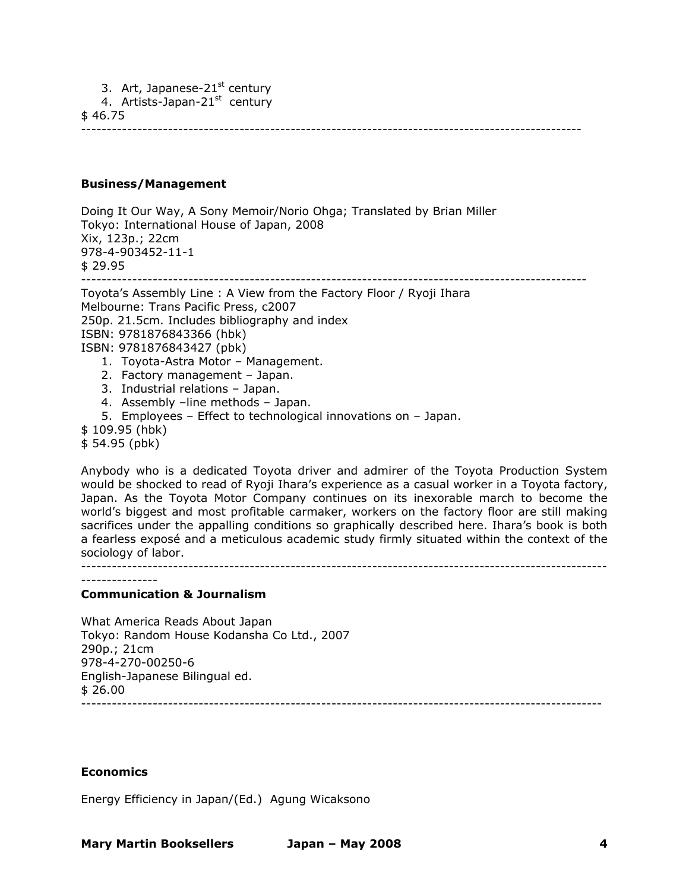3. Art, Japanese-21 $st$  century

4. Artists-Japan-21<sup>st</sup> century

\$ 46.75

--------------------------------------------------------------------------------------------------

### **Business/Management**

Doing It Our Way, A Sony Memoir/Norio Ohga; Translated by Brian Miller Tokyo: International House of Japan, 2008 Xix, 123p.; 22cm 978-4-903452-11-1 \$ 29.95 --------------------------------------------------------------------------------------------------- Toyota's Assembly Line : A View from the Factory Floor / Ryoji Ihara

Melbourne: Trans Pacific Press, c2007 250p. 21.5cm. Includes bibliography and index ISBN: 9781876843366 (hbk) ISBN: 9781876843427 (pbk) 1. Toyota-Astra Motor – Management. 2. Factory management – Japan. 3. Industrial relations – Japan.

- 4. Assembly –line methods Japan.
- 5. Employees Effect to technological innovations on Japan.
- \$ 109.95 (hbk)

\$ 54.95 (pbk)

Anybody who is a dedicated Toyota driver and admirer of the Toyota Production System would be shocked to read of Ryoji Ihara's experience as a casual worker in a Toyota factory, Japan. As the Toyota Motor Company continues on its inexorable march to become the world's biggest and most profitable carmaker, workers on the factory floor are still making sacrifices under the appalling conditions so graphically described here. Ihara's book is both a fearless exposé and a meticulous academic study firmly situated within the context of the sociology of labor.

-------------------------------------------------------------------------------------------------------

---------------

### **Communication & Journalism**

What America Reads About Japan Tokyo: Random House Kodansha Co Ltd., 2007 290p.; 21cm 978-4-270-00250-6 English-Japanese Bilingual ed.  $$26.00$ ------------------------------------------------------------------------------------------------------

#### **Economics**

Energy Efficiency in Japan/(Ed.) Agung Wicaksono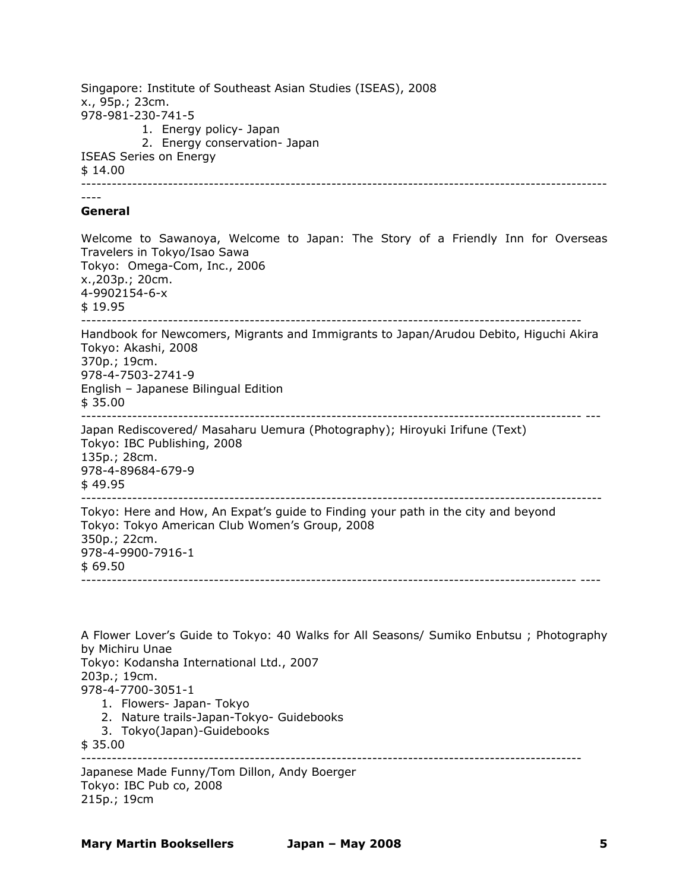Singapore: Institute of Southeast Asian Studies (ISEAS), 2008 x., 95p.; 23cm. 978-981-230-741-5 1. Energy policy- Japan 2. Energy conservation- Japan ISEAS Series on Energy \$ 14.00 ------------------------------------------------------------------------------------------------------- ---- **General**  Welcome to Sawanoya, Welcome to Japan: The Story of a Friendly Inn for Overseas Travelers in Tokyo/Isao Sawa Tokyo: Omega-Com, Inc., 2006 x.,203p.; 20cm. 4-9902154-6-x \$ 19.95 -------------------------------------------------------------------------------------------------- Handbook for Newcomers, Migrants and Immigrants to Japan/Arudou Debito, Higuchi Akira Tokyo: Akashi, 2008 370p.; 19cm. 978-4-7503-2741-9 English – Japanese Bilingual Edition \$ 35.00 -------------------------------------------------------------------------------------------------- --- Japan Rediscovered/ Masaharu Uemura (Photography); Hiroyuki Irifune (Text) Tokyo: IBC Publishing, 2008 135p.; 28cm. 978-4-89684-679-9 \$ 49.95 ------------------------------------------------------------------------------------------------------ Tokyo: Here and How, An Expat's guide to Finding your path in the city and beyond Tokyo: Tokyo American Club Women's Group, 2008 350p.; 22cm. 978-4-9900-7916-1  $$69.50$ ------------------------------------------------------------------------------------------------- ---- A Flower Lover's Guide to Tokyo: 40 Walks for All Seasons/ Sumiko Enbutsu ; Photography by Michiru Unae Tokyo: Kodansha International Ltd., 2007 203p.; 19cm. 978-4-7700-3051-1 1. Flowers- Japan- Tokyo 2. Nature trails-Japan-Tokyo- Guidebooks

3. Tokyo(Japan)-Guidebooks

\$ 35.00 --------------------------------------------------------------------------------------------------

Japanese Made Funny/Tom Dillon, Andy Boerger Tokyo: IBC Pub co, 2008 215p.; 19cm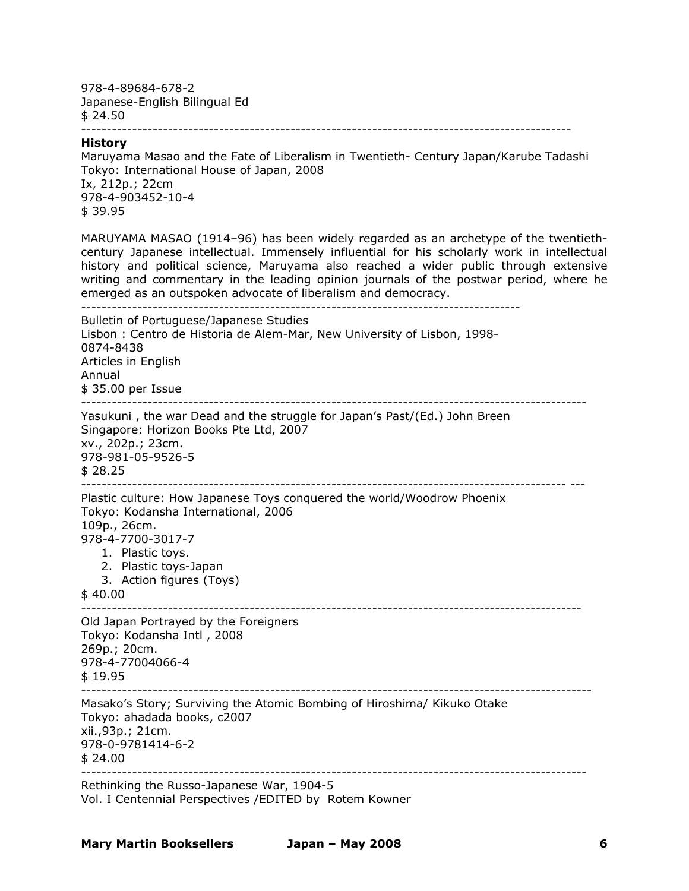978-4-89684-678-2 Japanese-English Bilingual Ed \$ 24.50 ------------------------------------------------------------------------------------------------

#### **History**

Maruyama Masao and the Fate of Liberalism in Twentieth- Century Japan/Karube Tadashi Tokyo: International House of Japan, 2008 Ix, 212p.; 22cm 978-4-903452-10-4 \$ 39.95

MARUYAMA MASAO (1914–96) has been widely regarded as an archetype of the twentiethcentury Japanese intellectual. Immensely influential for his scholarly work in intellectual history and political science, Maruyama also reached a wider public through extensive writing and commentary in the leading opinion journals of the postwar period, where he emerged as an outspoken advocate of liberalism and democracy.

-------------------------------------------------------------------------------------- Bulletin of Portuguese/Japanese Studies Lisbon : Centro de Historia de Alem-Mar, New University of Lisbon, 1998- 0874-8438 Articles in English Annual \$ 35.00 per Issue --------------------------------------------------------------------------------------------------- Yasukuni , the war Dead and the struggle for Japan's Past/(Ed.) John Breen Singapore: Horizon Books Pte Ltd, 2007 xv., 202p.; 23cm. 978-981-05-9526-5 \$ 28.25 ----------------------------------------------------------------------------------------------- --- Plastic culture: How Japanese Toys conquered the world/Woodrow Phoenix Tokyo: Kodansha International, 2006 109p., 26cm. 978-4-7700-3017-7 1. Plastic toys. 2. Plastic toys-Japan 3. Action figures (Toys) \$ 40.00 -------------------------------------------------------------------------------------------------- Old Japan Portrayed by the Foreigners Tokyo: Kodansha Intl , 2008 269p.; 20cm. 978-4-77004066-4 \$ 19.95 ---------------------------------------------------------------------------------------------------- Masako's Story; Surviving the Atomic Bombing of Hiroshima/ Kikuko Otake Tokyo: ahadada books, c2007 xii.,93p.; 21cm. 978-0-9781414-6-2  $$24.00$ --------------------------------------------------------------------------------------------------- Rethinking the Russo-Japanese War, 1904-5 Vol. I Centennial Perspectives /EDITED by Rotem Kowner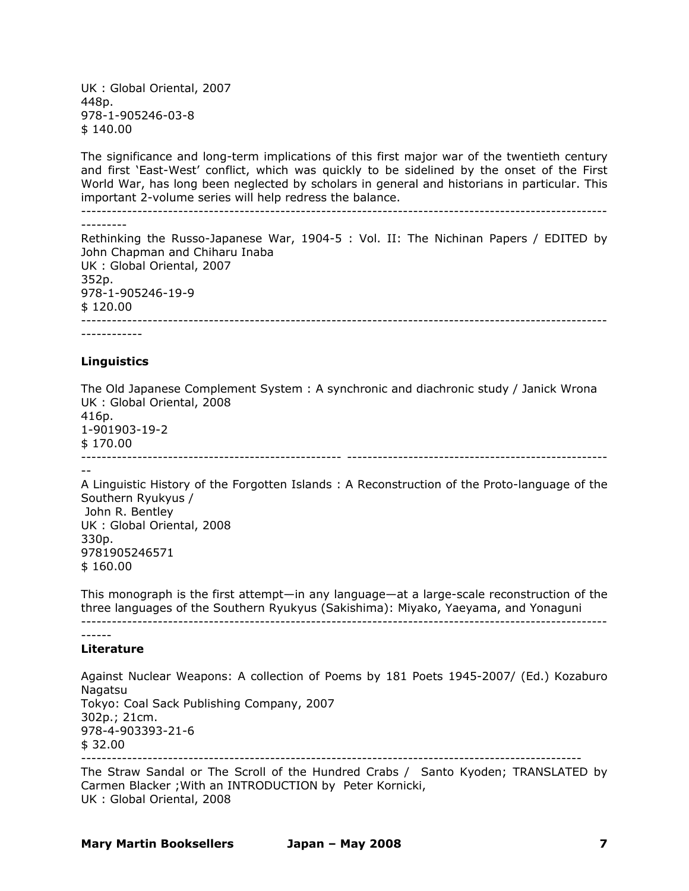UK : Global Oriental, 2007 448p. 978-1-905246-03-8 \$ 140.00

The significance and long-term implications of this first major war of the twentieth century and first 'East-West' conflict, which was quickly to be sidelined by the onset of the First World War, has long been neglected by scholars in general and historians in particular. This important 2-volume series will help redress the balance.

------------------------------------------------------------------------------------------------------- --------- Rethinking the Russo-Japanese War, 1904-5 : Vol. II: The Nichinan Papers / EDITED by John Chapman and Chiharu Inaba UK : Global Oriental, 2007

352p. 978-1-905246-19-9 \$ 120.00 -------------------------------------------------------------------------------------------------------

------------

#### **Linguistics**

The Old Japanese Complement System : A synchronic and diachronic study / Janick Wrona UK : Global Oriental, 2008

416p. 1-901903-19-2 \$ 170.00 --------------------------------------------------- --------------------------------------------------- --

A Linguistic History of the Forgotten Islands : A Reconstruction of the Proto-language of the Southern Ryukyus / John R. Bentley UK : Global Oriental, 2008 330p. 9781905246571 \$ 160.00

This monograph is the first attempt—in any language—at a large-scale reconstruction of the three languages of the Southern Ryukyus (Sakishima): Miyako, Yaeyama, and Yonaguni -------------------------------------------------------------------------------------------------------

### **Literature**

Against Nuclear Weapons: A collection of Poems by 181 Poets 1945-2007/ (Ed.) Kozaburo **Nagatsu** Tokyo: Coal Sack Publishing Company, 2007 302p.; 21cm. 978-4-903393-21-6 \$ 32.00 --------------------------------------------------------------------------------------------------

The Straw Sandal or The Scroll of the Hundred Crabs / Santo Kyoden; TRANSLATED by Carmen Blacker ;With an INTRODUCTION by Peter Kornicki, UK : Global Oriental, 2008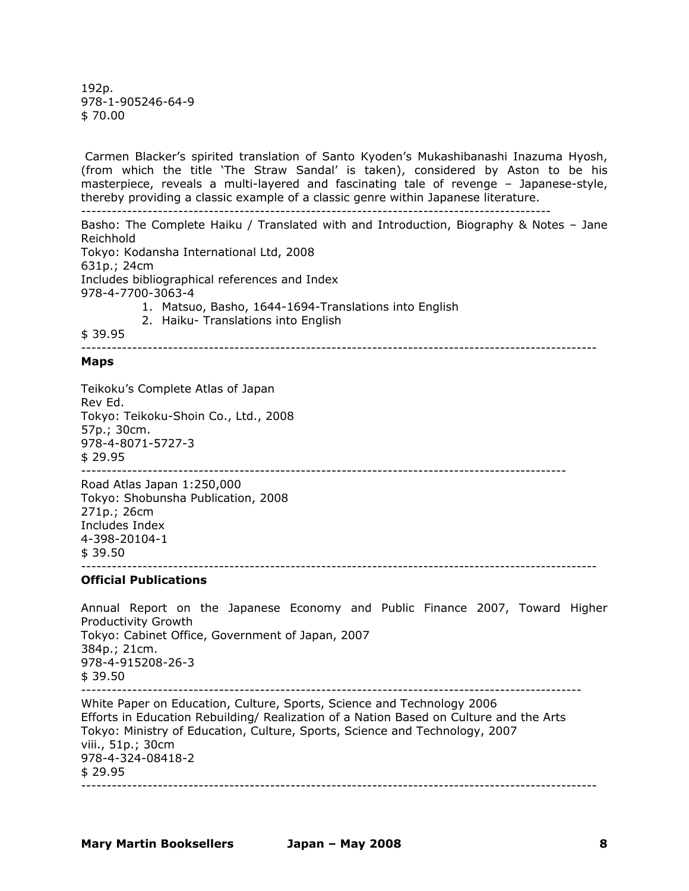192p. 978-1-905246-64-9 \$ 70.00

 Carmen Blacker's spirited translation of Santo Kyoden's Mukashibanashi Inazuma Hyosh, (from which the title 'The Straw Sandal' is taken), considered by Aston to be his masterpiece, reveals a multi-layered and fascinating tale of revenge – Japanese-style, thereby providing a classic example of a classic genre within Japanese literature.

--------------------------------------------------------------------------------------------

Basho: The Complete Haiku / Translated with and Introduction, Biography & Notes – Jane Reichhold Tokyo: Kodansha International Ltd, 2008

631p.; 24cm Includes bibliographical references and Index 978-4-7700-3063-4

- 1. Matsuo, Basho, 1644-1694-Translations into English
- 2. Haiku- Translations into English

\$ 39.95 -----------------------------------------------------------------------------------------------------

#### **Maps**

Teikoku's Complete Atlas of Japan Rev Ed. Tokyo: Teikoku-Shoin Co., Ltd., 2008 57p.; 30cm. 978-4-8071-5727-3 \$ 29.95 -----------------------------------------------------------------------------------------------

Road Atlas Japan 1:250,000 Tokyo: Shobunsha Publication, 2008 271p.; 26cm Includes Index 4-398-20104-1  $$39.50$ -----------------------------------------------------------------------------------------------------

#### **Official Publications**

Annual Report on the Japanese Economy and Public Finance 2007, Toward Higher Productivity Growth Tokyo: Cabinet Office, Government of Japan, 2007 384p.; 21cm. 978-4-915208-26-3 \$ 39.50 -------------------------------------------------------------------------------------------------- White Paper on Education, Culture, Sports, Science and Technology 2006 Efforts in Education Rebuilding/ Realization of a Nation Based on Culture and the Arts Tokyo: Ministry of Education, Culture, Sports, Science and Technology, 2007 viii., 51p.; 30cm 978-4-324-08418-2 \$ 29.95 -----------------------------------------------------------------------------------------------------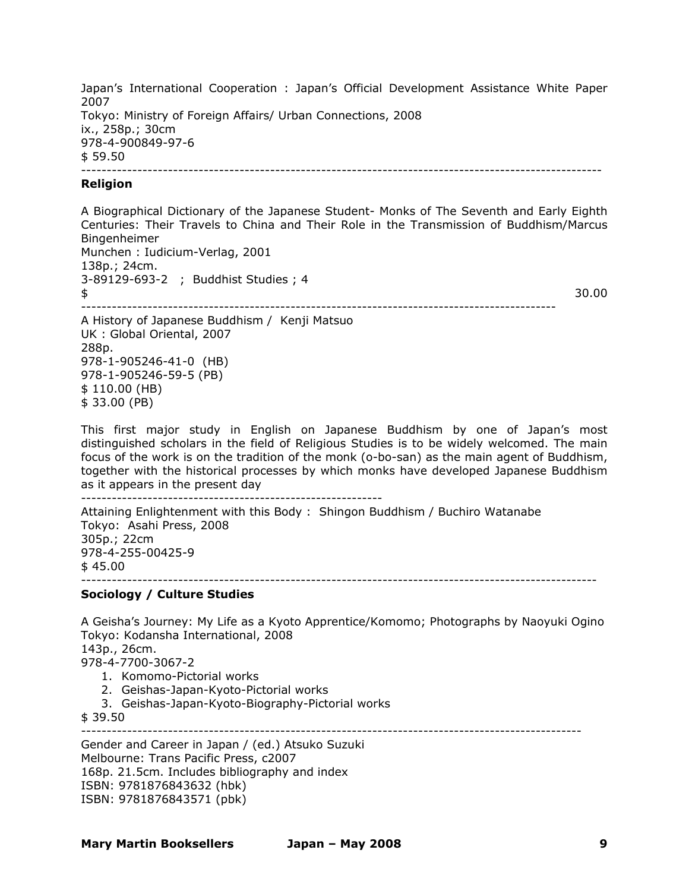Japan's International Cooperation : Japan's Official Development Assistance White Paper 2007 Tokyo: Ministry of Foreign Affairs/ Urban Connections, 2008 ix., 258p.; 30cm 978-4-900849-97-6  $$59.50$ ------------------------------------------------------------------------------------------------------

#### **Religion**

A Biographical Dictionary of the Japanese Student- Monks of The Seventh and Early Eighth Centuries: Their Travels to China and Their Role in the Transmission of Buddhism/Marcus Bingenheimer Munchen : Iudicium-Verlag, 2001 138p.; 24cm. 3-89129-693-2 ; Buddhist Studies ; 4  $\frac{1}{2}$   $\frac{30.00}{2}$ ---------------------------------------------------------------------------------------------

A History of Japanese Buddhism / Kenji Matsuo UK : Global Oriental, 2007 288p. 978-1-905246-41-0 (HB) 978-1-905246-59-5 (PB) \$ 110.00 (HB) \$ 33.00 (PB)

This first major study in English on Japanese Buddhism by one of Japan's most distinguished scholars in the field of Religious Studies is to be widely welcomed. The main focus of the work is on the tradition of the monk (o-bo-san) as the main agent of Buddhism, together with the historical processes by which monks have developed Japanese Buddhism as it appears in the present day

-----------------------------------------------------------

Attaining Enlightenment with this Body : Shingon Buddhism / Buchiro Watanabe Tokyo: Asahi Press, 2008 305p.; 22cm 978-4-255-00425-9  $$45.00$ -----------------------------------------------------------------------------------------------------

### **Sociology / Culture Studies**

A Geisha's Journey: My Life as a Kyoto Apprentice/Komomo; Photographs by Naoyuki Ogino Tokyo: Kodansha International, 2008 143p., 26cm. 978-4-7700-3067-2 1. Komomo-Pictorial works 2. Geishas-Japan-Kyoto-Pictorial works 3. Geishas-Japan-Kyoto-Biography-Pictorial works \$ 39.50 -------------------------------------------------------------------------------------------------- Gender and Career in Japan / (ed.) Atsuko Suzuki Melbourne: Trans Pacific Press, c2007

168p. 21.5cm. Includes bibliography and index ISBN: 9781876843632 (hbk) ISBN: 9781876843571 (pbk)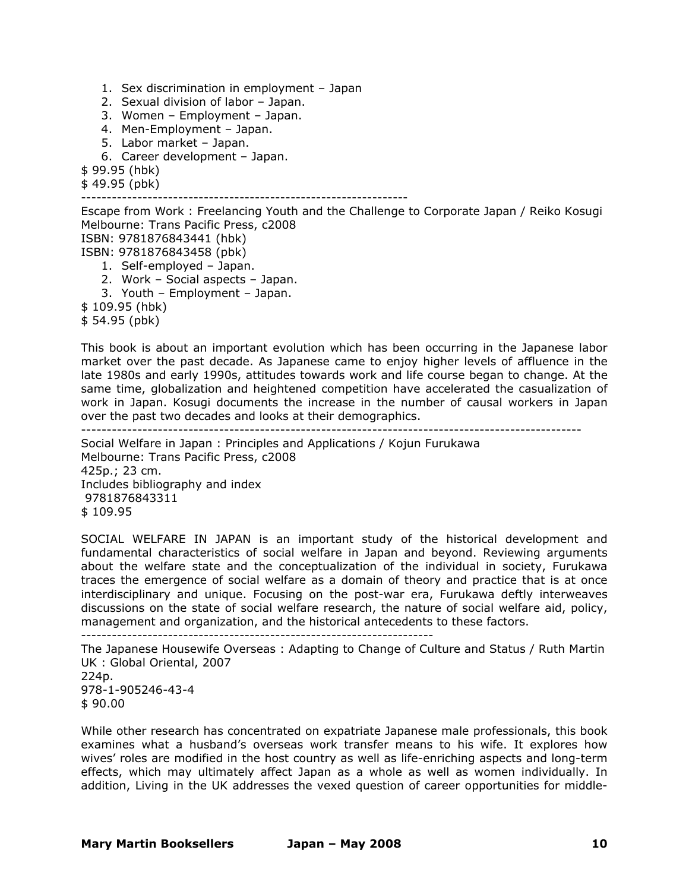1. Sex discrimination in employment – Japan

- 2. Sexual division of labor Japan.
- 3. Women Employment Japan.
- 4. Men-Employment Japan.
- 5. Labor market Japan.
- 6. Career development Japan.

\$ 99.95 (hbk)

\$ 49.95 (pbk)

----------------------------------------------------------------

Escape from Work : Freelancing Youth and the Challenge to Corporate Japan / Reiko Kosugi Melbourne: Trans Pacific Press, c2008 ISBN: 9781876843441 (hbk) ISBN: 9781876843458 (pbk) 1. Self-employed – Japan. 2. Work – Social aspects – Japan. 3. Youth – Employment – Japan. \$ 109.95 (hbk) \$ 54.95 (pbk)

This book is about an important evolution which has been occurring in the Japanese labor market over the past decade. As Japanese came to enjoy higher levels of affluence in the late 1980s and early 1990s, attitudes towards work and life course began to change. At the same time, globalization and heightened competition have accelerated the casualization of work in Japan. Kosugi documents the increase in the number of causal workers in Japan over the past two decades and looks at their demographics.

--------------------------------------------------------------------------------------------------

Social Welfare in Japan : Principles and Applications / Kojun Furukawa Melbourne: Trans Pacific Press, c2008 425p.; 23 cm. Includes bibliography and index 9781876843311 \$ 109.95

SOCIAL WELFARE IN JAPAN is an important study of the historical development and fundamental characteristics of social welfare in Japan and beyond. Reviewing arguments about the welfare state and the conceptualization of the individual in society, Furukawa traces the emergence of social welfare as a domain of theory and practice that is at once interdisciplinary and unique. Focusing on the post-war era, Furukawa deftly interweaves discussions on the state of social welfare research, the nature of social welfare aid, policy, management and organization, and the historical antecedents to these factors.

---------------------------------------------------------------------

The Japanese Housewife Overseas : Adapting to Change of Culture and Status / Ruth Martin UK : Global Oriental, 2007 224p. 978-1-905246-43-4

\$ 90.00

While other research has concentrated on expatriate Japanese male professionals, this book examines what a husband's overseas work transfer means to his wife. It explores how wives' roles are modified in the host country as well as life-enriching aspects and long-term effects, which may ultimately affect Japan as a whole as well as women individually. In addition, Living in the UK addresses the vexed question of career opportunities for middle-